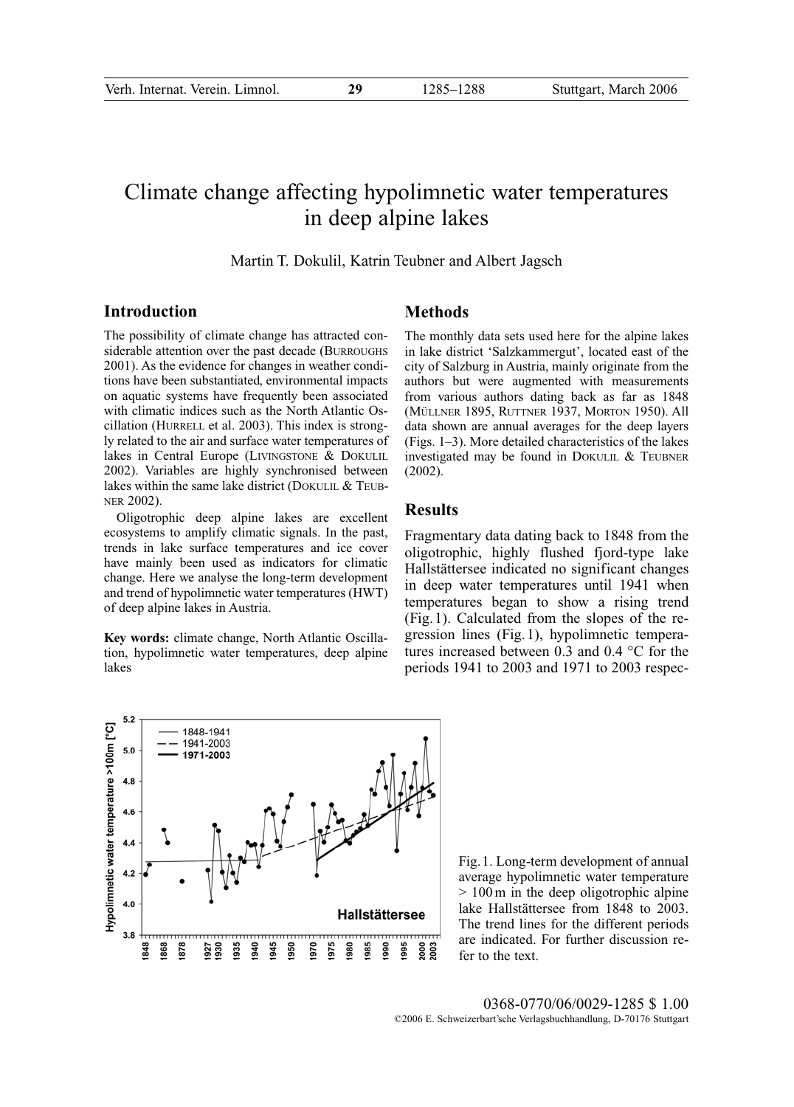# Climate change affecting hypolimnetic water temperatures in deep alpine lakes

#### Martin T. Dokulil, Katrin Teubner and Albert Jagsch

# **Introduction**

The possibility of climate change has attracted considerable attention over the past decade (BURROUGHS 2001). As the evidence for changes in weather conditions have been substantiated, environmental impacts on aquatic systems have frequently been associated with climatic indices such as the North Atlantic Oscillation (HURRELL et al. 2003). This index is strongly related to the air and surface water temperatures of lakes in Central Europe (LIVINGSTONE & DOKULIL 2002). Variables are highly synchronised between lakes within the same lake district (DOKULIL & TEUB-NER 2002).

Oligotrophic deep alpine lakes are excellent ecosystems to amplify climatic signals. In the past, trends in lake surface temperatures and ice cover have mainly been used as indicators for climatic change. Here we analyse the long-term development and trend of hypolimnetic water temperatures (HWT) of deep alpine lakes in Austria.

**Key words:** climate change, North Atlantic Oscillation, hypolimnetic water temperatures, deep alpine lakes

## **Methods**

The monthly data sets used here for the alpine lakes in lake district 'Salzkammergut', located east of the city of Salzburg in Austria, mainly originate from the authors but were augmented with measurements from various authors dating back as far as 1848 (MÜLLNER 1895, RUTTNER 1937, MORTON 1950). All data shown are annual averages for the deep layers (Figs. 1–3). More detailed characteristics of the lakes investigated may be found in DOKULIL & TEUBNER (2002).

## **Results**

Fragmentary data dating back to 1848 from the oligotrophic, highly flushed fjord-type lake Hallstättersee indicated no significant changes in deep water temperatures until 1941 when temperatures began to show a rising trend (Fig.1). Calculated from the slopes of the regression lines (Fig.1), hypolimnetic temperatures increased between 0.3 and 0.4 °C for the periods 1941 to 2003 and 1971 to 2003 respec-



Fig.1. Long-term development of annual average hypolimnetic water temperature > 100 m in the deep oligotrophic alpine lake Hallstättersee from 1848 to 2003. The trend lines for the different periods are indicated. For further discussion refer to the text.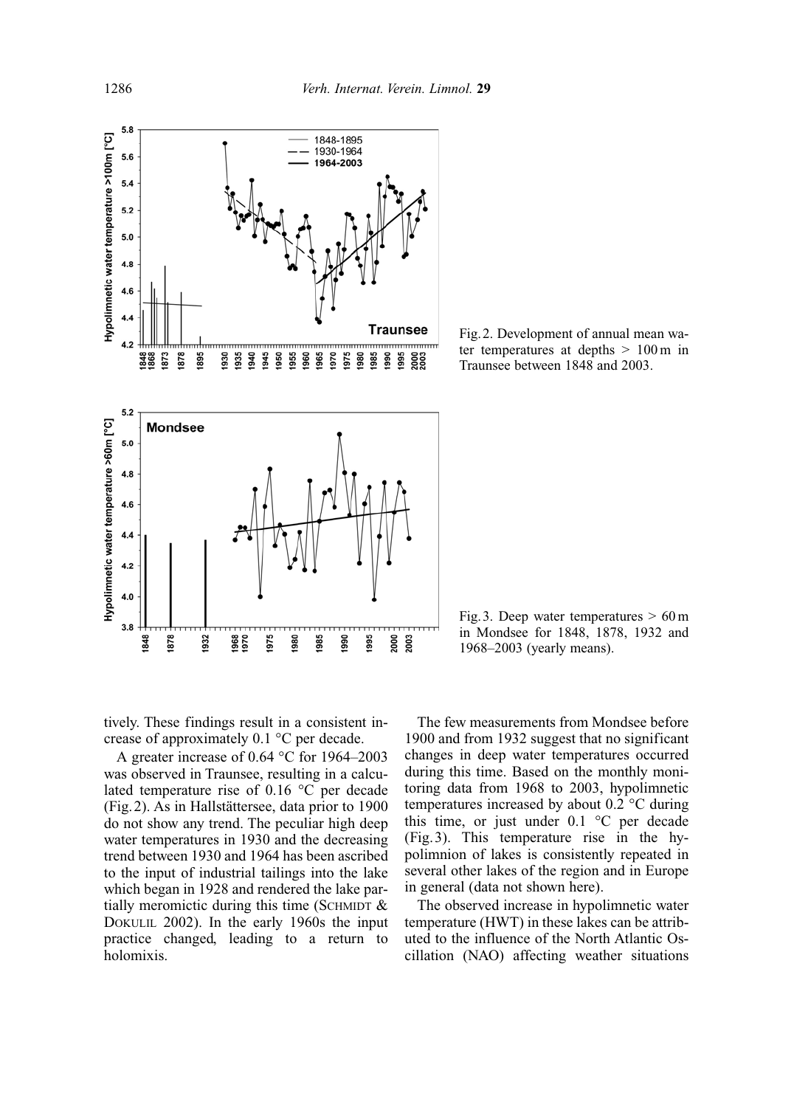

Fig.2. Development of annual mean water temperatures at depths  $> 100 \text{ m}$  in Traunsee between 1848 and 2003.

Fig. 3. Deep water temperatures  $> 60 \text{ m}$ in Mondsee for 1848, 1878, 1932 and 1968–2003 (yearly means).

tively. These findings result in a consistent increase of approximately 0.1 °C per decade.

A greater increase of 0.64 °C for 1964–2003 was observed in Traunsee, resulting in a calculated temperature rise of 0.16 °C per decade (Fig.2). As in Hallstättersee, data prior to 1900 do not show any trend. The peculiar high deep water temperatures in 1930 and the decreasing trend between 1930 and 1964 has been ascribed to the input of industrial tailings into the lake which began in 1928 and rendered the lake partially meromictic during this time (SCHMIDT  $\&$ DOKULIL 2002). In the early 1960s the input practice changed, leading to a return to holomixis.

The few measurements from Mondsee before 1900 and from 1932 suggest that no significant changes in deep water temperatures occurred during this time. Based on the monthly monitoring data from 1968 to 2003, hypolimnetic temperatures increased by about 0.2 °C during this time, or just under  $0.1 \degree$ C per decade (Fig.3). This temperature rise in the hypolimnion of lakes is consistently repeated in several other lakes of the region and in Europe in general (data not shown here).

The observed increase in hypolimnetic water temperature (HWT) in these lakes can be attributed to the influence of the North Atlantic Oscillation (NAO) affecting weather situations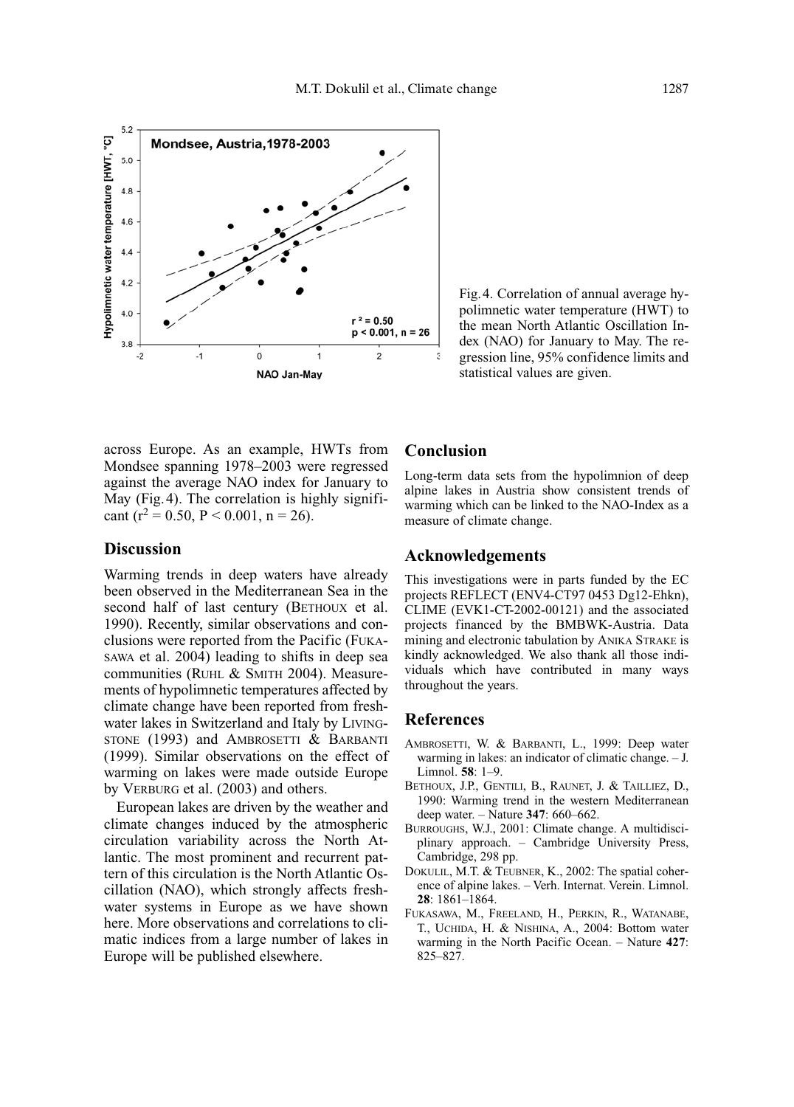

Fig.4. Correlation of annual average hypolimnetic water temperature (HWT) to the mean North Atlantic Oscillation Index (NAO) for January to May. The regression line, 95% confidence limits and statistical values are given.

across Europe. As an example, HWTs from Mondsee spanning 1978–2003 were regressed against the average NAO index for January to May (Fig.4). The correlation is highly significant ( $r^2$  = 0.50, P < 0.001, n = 26).

# **Discussion**

Warming trends in deep waters have already been observed in the Mediterranean Sea in the second half of last century (BETHOUX et al. 1990). Recently, similar observations and conclusions were reported from the Pacific (FUKA-SAWA et al. 2004) leading to shifts in deep sea communities (RUHL & SMITH 2004). Measurements of hypolimnetic temperatures affected by climate change have been reported from freshwater lakes in Switzerland and Italy by LIVING-STONE (1993) and AMBROSETTI & BARBANTI (1999). Similar observations on the effect of warming on lakes were made outside Europe by VERBURG et al. (2003) and others.

European lakes are driven by the weather and climate changes induced by the atmospheric circulation variability across the North Atlantic. The most prominent and recurrent pattern of this circulation is the North Atlantic Oscillation (NAO), which strongly affects freshwater systems in Europe as we have shown here. More observations and correlations to climatic indices from a large number of lakes in Europe will be published elsewhere.

## **Conclusion**

Long-term data sets from the hypolimnion of deep alpine lakes in Austria show consistent trends of warming which can be linked to the NAO-Index as a measure of climate change.

#### **Acknowledgements**

This investigations were in parts funded by the EC projects REFLECT (ENV4-CT97 0453 Dg12-Ehkn), CLIME (EVK1-CT-2002-00121) and the associated projects financed by the BMBWK-Austria. Data mining and electronic tabulation by ANIKA STRAKE is kindly acknowledged. We also thank all those individuals which have contributed in many ways throughout the years.

#### **References**

- AMBROSETTI, W. & BARBANTI, L., 1999: Deep water warming in lakes: an indicator of climatic change. – J. Limnol. **58**: 1–9.
- BETHOUX, J.P., GENTILI, B., RAUNET, J. & TAILLIEZ, D., 1990: Warming trend in the western Mediterranean deep water. – Nature **347**: 660–662.
- BURROUGHS, W.J., 2001: Climate change. A multidisciplinary approach. – Cambridge University Press, Cambridge, 298 pp.
- DOKULIL, M.T. & TEUBNER, K., 2002: The spatial coherence of alpine lakes. – Verh. Internat. Verein. Limnol. **28**: 1861–1864.
- FUKASAWA, M., FREELAND, H., PERKIN, R., WATANABE, T., UCHIDA, H. & NISHINA, A., 2004: Bottom water warming in the North Pacific Ocean. – Nature **427**: 825–827.